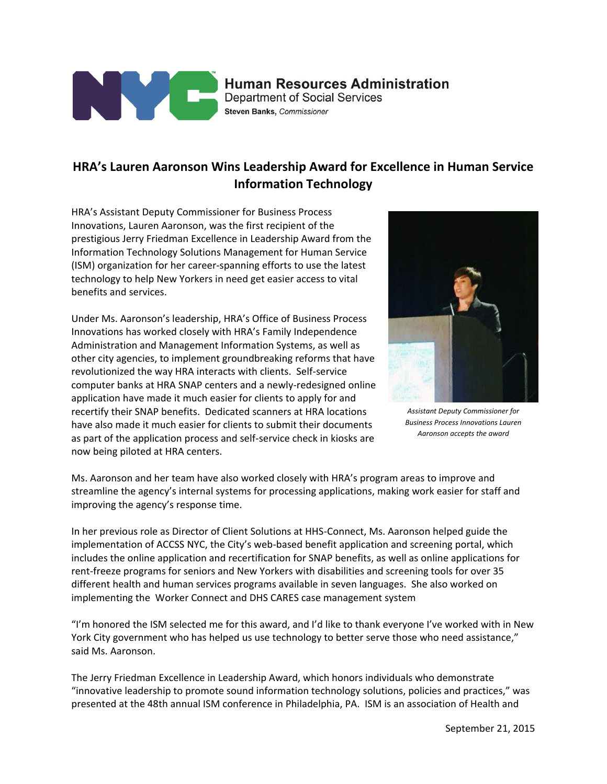

## **Human Resources Administration Department of Social Services**

Steven Banks, Commissioner

## **HRA's Lauren Aaronson Wins Leadership Award for Excellence in Human Service Information Technology**

HRA's Assistant Deputy Commissioner for Business Process Innovations, Lauren Aaronson, was the first recipient of the prestigious Jerry Friedman Excellence in Leadership Award from the Information Technology Solutions Management for Human Service (ISM) organization for her career-spanning efforts to use the latest technology to help New Yorkers in need get easier access to vital benefits and services.

Under Ms. Aaronson's leadership, HRA's Office of Business Process Innovations has worked closely with HRA's Family Independence Administration and Management Information Systems, as well as other city agencies, to implement groundbreaking reforms that have revolutionized the way HRA interacts with clients. Self-service computer banks at HRA SNAP centers and a newly-redesigned online application have made it much easier for clients to apply for and recertify their SNAP benefits. Dedicated scanners at HRA locations have also made it much easier for clients to submit their documents as part of the application process and self-service check in kiosks are now being piloted at HRA centers.



*Assistant Deputy Commissioner for Business Process Innovations Lauren Aaronson accepts the award*

Ms. Aaronson and her team have also worked closely with HRA's program areas to improve and streamline the agency's internal systems for processing applications, making work easier for staff and improving the agency's response time.

In her previous role as Director of Client Solutions at HHS-Connect, Ms. Aaronson helped guide the implementation of ACCSS NYC, the City's web-based benefit application and screening portal, which includes the online application and recertification for SNAP benefits, as well as online applications for rent-freeze programs for seniors and New Yorkers with disabilities and screening tools for over 35 different health and human services programs available in seven languages. She also worked on implementing the Worker Connect and DHS CARES case management system

"I'm honored the ISM selected me for this award, and I'd like to thank everyone I've worked with in New York City government who has helped us use technology to better serve those who need assistance," said Ms. Aaronson.

The Jerry Friedman Excellence in Leadership Award, which honors individuals who demonstrate "innovative leadership to promote sound information technology solutions, policies and practices," was presented at the 48th annual ISM conference in Philadelphia, PA. ISM is an association of Health and